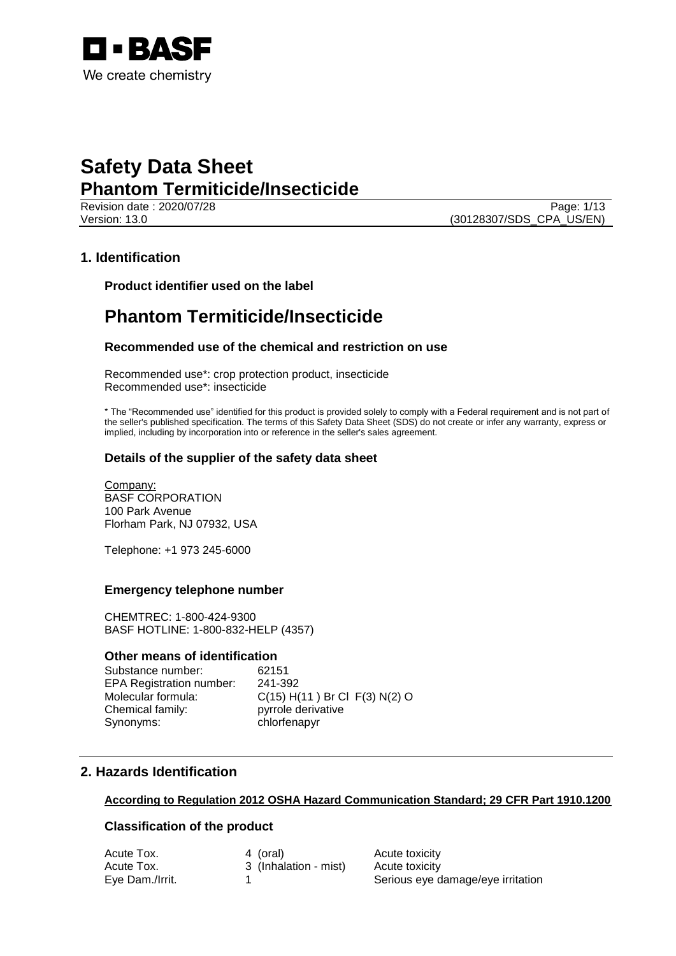

Revision date : 2020/07/28 Page: 1/13 Version: 13.0 (30128307/SDS\_CPA\_US/EN)

## **1. Identification**

**Product identifier used on the label**

## **Phantom Termiticide/Insecticide**

### **Recommended use of the chemical and restriction on use**

Recommended use\*: crop protection product, insecticide Recommended use\*: insecticide

\* The "Recommended use" identified for this product is provided solely to comply with a Federal requirement and is not part of the seller's published specification. The terms of this Safety Data Sheet (SDS) do not create or infer any warranty, express or implied, including by incorporation into or reference in the seller's sales agreement.

### **Details of the supplier of the safety data sheet**

Company: BASF CORPORATION 100 Park Avenue Florham Park, NJ 07932, USA

Telephone: +1 973 245-6000

### **Emergency telephone number**

CHEMTREC: 1-800-424-9300 BASF HOTLINE: 1-800-832-HELP (4357)

### **Other means of identification**

Substance number: 62151 EPA Registration number: 241-392 Chemical family: pyrrole derivative Synonyms: chlorfenapyr

Molecular formula: C(15) H(11) Br Cl F(3) N(2) O

## **2. Hazards Identification**

### **According to Regulation 2012 OSHA Hazard Communication Standard; 29 CFR Part 1910.1200**

## **Classification of the product**

| Acute Tox.      | 4 (oral)              | Acute toxicity                    |
|-----------------|-----------------------|-----------------------------------|
| Acute Tox.      | 3 (Inhalation - mist) | Acute toxicity                    |
| Eye Dam./Irrit. |                       | Serious eye damage/eye irritation |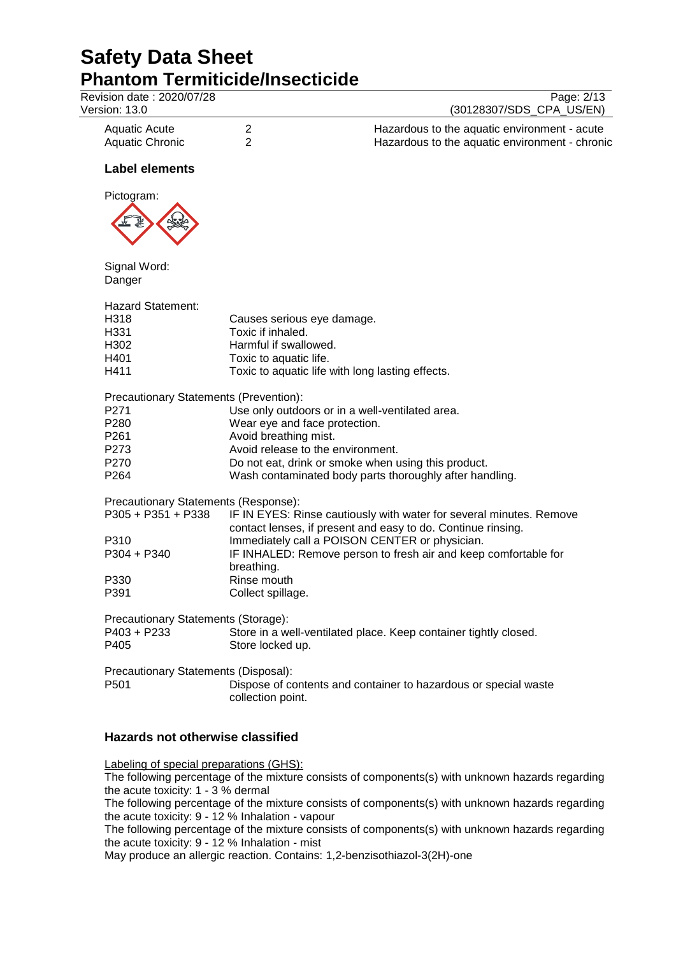# **Safety Data Sheet Phantom Termiticide/Insecticide**<br>Revision date : 2020/07/28

| Revision date: 2020/07/28<br>Version: 13.0 |                        | Page: 2/13<br>(30128307/SDS_CPA_US/EN)                                                         |
|--------------------------------------------|------------------------|------------------------------------------------------------------------------------------------|
| Aquatic Acute<br><b>Aquatic Chronic</b>    | 2<br>$\overline{2}$    | Hazardous to the aquatic environment - acute<br>Hazardous to the aquatic environment - chronic |
| <b>Label elements</b>                      |                        |                                                                                                |
| Pictogram:                                 |                        |                                                                                                |
|                                            |                        |                                                                                                |
| Signal Word:                               |                        |                                                                                                |
| Danger                                     |                        |                                                                                                |
| <b>Hazard Statement:</b>                   |                        |                                                                                                |
| H318                                       |                        | Causes serious eye damage.                                                                     |
| H331                                       | Toxic if inhaled.      |                                                                                                |
| H302                                       | Harmful if swallowed.  |                                                                                                |
| H401                                       | Toxic to aquatic life. |                                                                                                |
| H411                                       |                        | Toxic to aquatic life with long lasting effects.                                               |
| Precautionary Statements (Prevention):     |                        |                                                                                                |
| P271                                       |                        | Use only outdoors or in a well-ventilated area.                                                |
| P280                                       |                        | Wear eye and face protection.                                                                  |
| P <sub>261</sub>                           | Avoid breathing mist.  |                                                                                                |
| P273                                       |                        | Avoid release to the environment.                                                              |
| P270                                       |                        | Do not eat, drink or smoke when using this product.                                            |
| P <sub>264</sub>                           |                        | Wash contaminated body parts thoroughly after handling.                                        |
|                                            |                        |                                                                                                |
| Precautionary Statements (Response):       |                        |                                                                                                |
| $P305 + P351 + P338$                       |                        | IF IN EYES: Rinse cautiously with water for several minutes. Remove                            |
|                                            |                        | contact lenses, if present and easy to do. Continue rinsing.                                   |
| P310                                       |                        | Immediately call a POISON CENTER or physician.                                                 |
| $P304 + P340$                              |                        | IF INHALED: Remove person to fresh air and keep comfortable for                                |
|                                            | breathing.             |                                                                                                |
| P330                                       | Rinse mouth            |                                                                                                |
| P391                                       | Collect spillage.      |                                                                                                |
| Precautionary Statements (Storage):        |                        |                                                                                                |
| P403 + P233                                |                        | Store in a well-ventilated place. Keep container tightly closed.                               |
| P405                                       | Store locked up.       |                                                                                                |
|                                            |                        |                                                                                                |
| Precautionary Statements (Disposal):       |                        |                                                                                                |
| P501                                       | collection point.      | Dispose of contents and container to hazardous or special waste                                |

## **Hazards not otherwise classified**

Labeling of special preparations (GHS):

The following percentage of the mixture consists of components(s) with unknown hazards regarding the acute toxicity: 1 - 3 % dermal

The following percentage of the mixture consists of components(s) with unknown hazards regarding the acute toxicity: 9 - 12 % Inhalation - vapour

The following percentage of the mixture consists of components(s) with unknown hazards regarding the acute toxicity: 9 - 12 % Inhalation - mist

May produce an allergic reaction. Contains: 1,2-benzisothiazol-3(2H)-one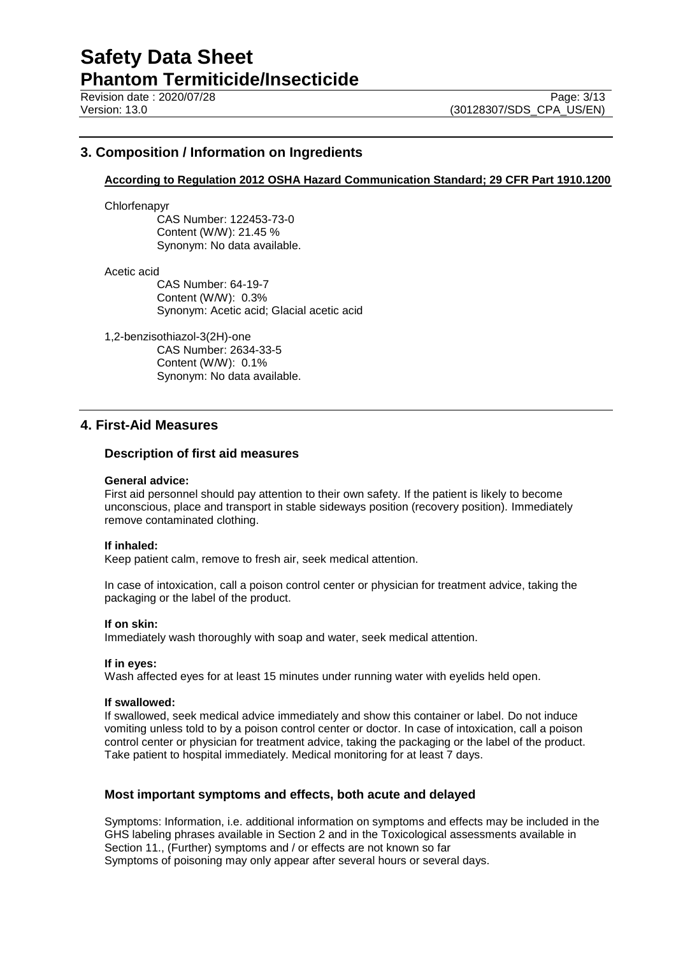## **3. Composition / Information on Ingredients**

### **According to Regulation 2012 OSHA Hazard Communication Standard; 29 CFR Part 1910.1200**

Chlorfenapyr

CAS Number: 122453-73-0 Content (W/W): 21.45 % Synonym: No data available.

Acetic acid

CAS Number: 64-19-7 Content (W/W): 0.3% Synonym: Acetic acid; Glacial acetic acid

1,2-benzisothiazol-3(2H)-one

CAS Number: 2634-33-5 Content (W/W): 0.1% Synonym: No data available.

## **4. First-Aid Measures**

### **Description of first aid measures**

#### **General advice:**

First aid personnel should pay attention to their own safety. If the patient is likely to become unconscious, place and transport in stable sideways position (recovery position). Immediately remove contaminated clothing.

### **If inhaled:**

Keep patient calm, remove to fresh air, seek medical attention.

In case of intoxication, call a poison control center or physician for treatment advice, taking the packaging or the label of the product.

#### **If on skin:**

Immediately wash thoroughly with soap and water, seek medical attention.

#### **If in eyes:**

Wash affected eyes for at least 15 minutes under running water with eyelids held open.

#### **If swallowed:**

If swallowed, seek medical advice immediately and show this container or label. Do not induce vomiting unless told to by a poison control center or doctor. In case of intoxication, call a poison control center or physician for treatment advice, taking the packaging or the label of the product. Take patient to hospital immediately. Medical monitoring for at least 7 days.

### **Most important symptoms and effects, both acute and delayed**

Symptoms: Information, i.e. additional information on symptoms and effects may be included in the GHS labeling phrases available in Section 2 and in the Toxicological assessments available in Section 11., (Further) symptoms and / or effects are not known so far Symptoms of poisoning may only appear after several hours or several days.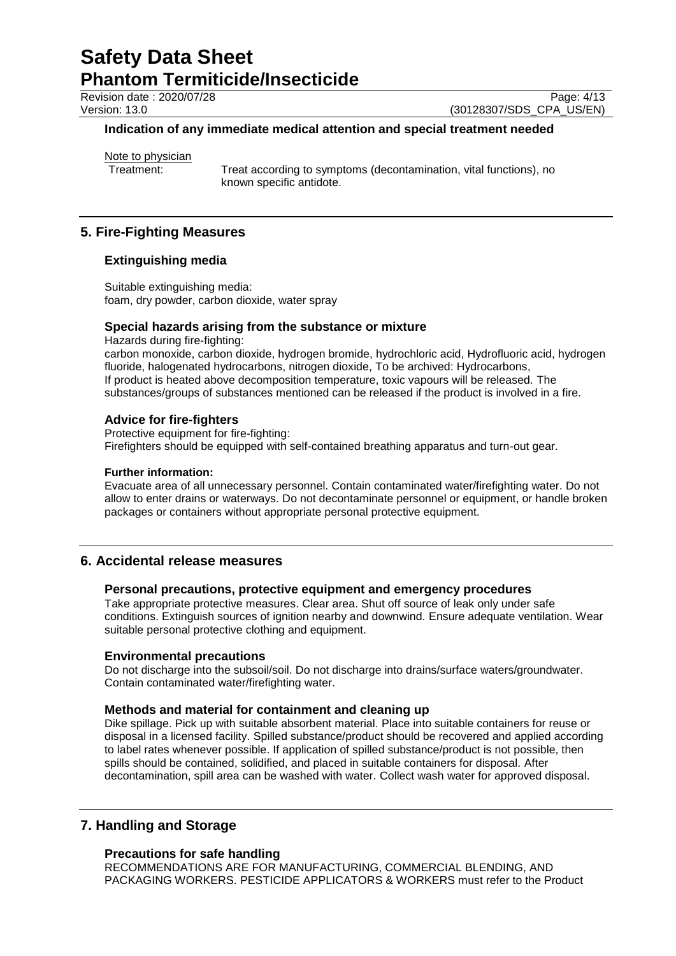Revision date : 2020/07/28 Page: 4/13<br>
Version: 13.0 (30128307/SDS CPA US/EN)

(30128307/SDS\_CPA\_US/EN)

### **Indication of any immediate medical attention and special treatment needed**

Note to physician<br>Treatment:

Treat according to symptoms (decontamination, vital functions), no known specific antidote.

## **5. Fire-Fighting Measures**

### **Extinguishing media**

Suitable extinguishing media: foam, dry powder, carbon dioxide, water spray

### **Special hazards arising from the substance or mixture**

Hazards during fire-fighting: carbon monoxide, carbon dioxide, hydrogen bromide, hydrochloric acid, Hydrofluoric acid, hydrogen fluoride, halogenated hydrocarbons, nitrogen dioxide, To be archived: Hydrocarbons, If product is heated above decomposition temperature, toxic vapours will be released. The substances/groups of substances mentioned can be released if the product is involved in a fire.

### **Advice for fire-fighters**

Protective equipment for fire-fighting: Firefighters should be equipped with self-contained breathing apparatus and turn-out gear.

### **Further information:**

Evacuate area of all unnecessary personnel. Contain contaminated water/firefighting water. Do not allow to enter drains or waterways. Do not decontaminate personnel or equipment, or handle broken packages or containers without appropriate personal protective equipment.

## **6. Accidental release measures**

### **Personal precautions, protective equipment and emergency procedures**

Take appropriate protective measures. Clear area. Shut off source of leak only under safe conditions. Extinguish sources of ignition nearby and downwind. Ensure adequate ventilation. Wear suitable personal protective clothing and equipment.

### **Environmental precautions**

Do not discharge into the subsoil/soil. Do not discharge into drains/surface waters/groundwater. Contain contaminated water/firefighting water.

### **Methods and material for containment and cleaning up**

Dike spillage. Pick up with suitable absorbent material. Place into suitable containers for reuse or disposal in a licensed facility. Spilled substance/product should be recovered and applied according to label rates whenever possible. If application of spilled substance/product is not possible, then spills should be contained, solidified, and placed in suitable containers for disposal. After decontamination, spill area can be washed with water. Collect wash water for approved disposal.

## **7. Handling and Storage**

### **Precautions for safe handling**

RECOMMENDATIONS ARE FOR MANUFACTURING, COMMERCIAL BLENDING, AND PACKAGING WORKERS. PESTICIDE APPLICATORS & WORKERS must refer to the Product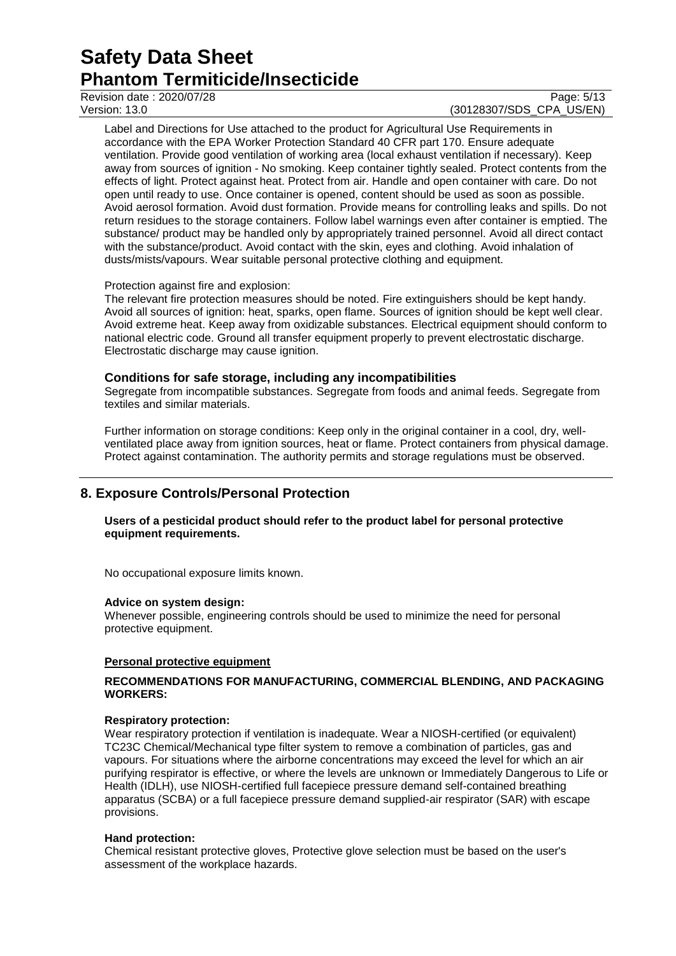### Revision date : 2020/07/28 Page: 5/13<br>
Version: 13.0 (30128307/SDS CPA US/EN) (30128307/SDS\_CPA\_US/EN)

Label and Directions for Use attached to the product for Agricultural Use Requirements in accordance with the EPA Worker Protection Standard 40 CFR part 170. Ensure adequate ventilation. Provide good ventilation of working area (local exhaust ventilation if necessary). Keep away from sources of ignition - No smoking. Keep container tightly sealed. Protect contents from the effects of light. Protect against heat. Protect from air. Handle and open container with care. Do not open until ready to use. Once container is opened, content should be used as soon as possible. Avoid aerosol formation. Avoid dust formation. Provide means for controlling leaks and spills. Do not return residues to the storage containers. Follow label warnings even after container is emptied. The substance/ product may be handled only by appropriately trained personnel. Avoid all direct contact with the substance/product. Avoid contact with the skin, eyes and clothing. Avoid inhalation of dusts/mists/vapours. Wear suitable personal protective clothing and equipment.

### Protection against fire and explosion:

The relevant fire protection measures should be noted. Fire extinguishers should be kept handy. Avoid all sources of ignition: heat, sparks, open flame. Sources of ignition should be kept well clear. Avoid extreme heat. Keep away from oxidizable substances. Electrical equipment should conform to national electric code. Ground all transfer equipment properly to prevent electrostatic discharge. Electrostatic discharge may cause ignition.

### **Conditions for safe storage, including any incompatibilities**

Segregate from incompatible substances. Segregate from foods and animal feeds. Segregate from textiles and similar materials.

Further information on storage conditions: Keep only in the original container in a cool, dry, wellventilated place away from ignition sources, heat or flame. Protect containers from physical damage. Protect against contamination. The authority permits and storage regulations must be observed.

## **8. Exposure Controls/Personal Protection**

### **Users of a pesticidal product should refer to the product label for personal protective equipment requirements.**

No occupational exposure limits known.

### **Advice on system design:**

Whenever possible, engineering controls should be used to minimize the need for personal protective equipment.

### **Personal protective equipment**

### **RECOMMENDATIONS FOR MANUFACTURING, COMMERCIAL BLENDING, AND PACKAGING WORKERS:**

### **Respiratory protection:**

Wear respiratory protection if ventilation is inadequate. Wear a NIOSH-certified (or equivalent) TC23C Chemical/Mechanical type filter system to remove a combination of particles, gas and vapours. For situations where the airborne concentrations may exceed the level for which an air purifying respirator is effective, or where the levels are unknown or Immediately Dangerous to Life or Health (IDLH), use NIOSH-certified full facepiece pressure demand self-contained breathing apparatus (SCBA) or a full facepiece pressure demand supplied-air respirator (SAR) with escape provisions.

### **Hand protection:**

Chemical resistant protective gloves, Protective glove selection must be based on the user's assessment of the workplace hazards.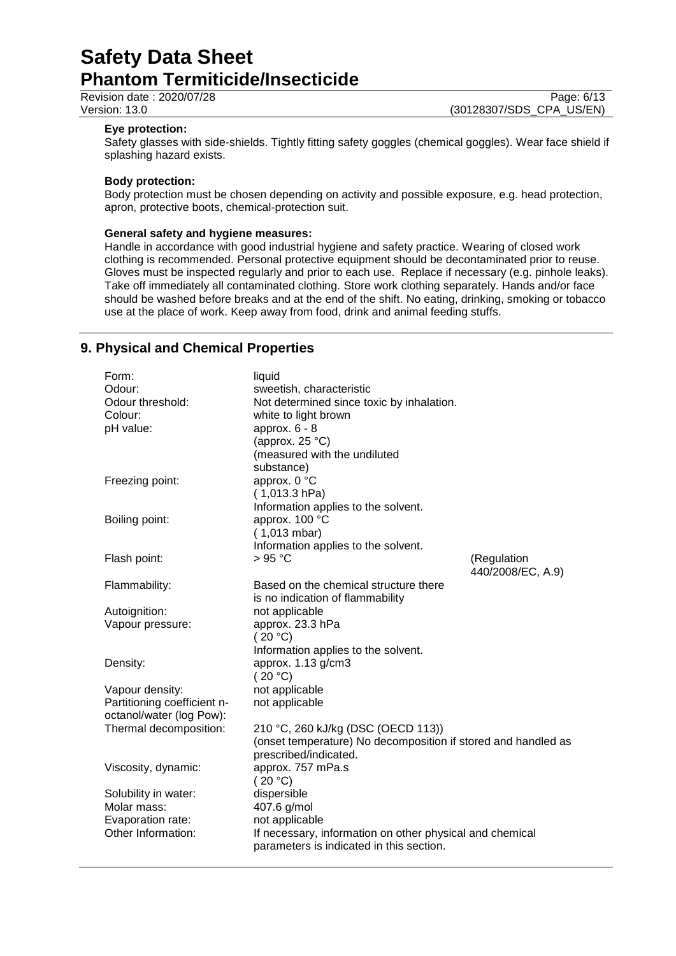Revision date : 2020/07/28 Page: 6/13<br>
Version: 13.0 (30128307/SDS CPA US/EN)

(30128307/SDS\_CPA\_US/EN)

### **Eye protection:**

Safety glasses with side-shields. Tightly fitting safety goggles (chemical goggles). Wear face shield if splashing hazard exists.

#### **Body protection:**

Body protection must be chosen depending on activity and possible exposure, e.g. head protection, apron, protective boots, chemical-protection suit.

### **General safety and hygiene measures:**

Handle in accordance with good industrial hygiene and safety practice. Wearing of closed work clothing is recommended. Personal protective equipment should be decontaminated prior to reuse. Gloves must be inspected regularly and prior to each use. Replace if necessary (e.g. pinhole leaks). Take off immediately all contaminated clothing. Store work clothing separately. Hands and/or face should be washed before breaks and at the end of the shift. No eating, drinking, smoking or tobacco use at the place of work. Keep away from food, drink and animal feeding stuffs.

## **9. Physical and Chemical Properties**

| Form:<br>Odour:<br>Odour threshold:<br>Colour:<br>pH value:                | liquid<br>sweetish, characteristic<br>Not determined since toxic by inhalation.<br>white to light brown<br>approx. $6 - 8$<br>(approx. $25^{\circ}$ C)<br>(measured with the undiluted<br>substance) |                                  |
|----------------------------------------------------------------------------|------------------------------------------------------------------------------------------------------------------------------------------------------------------------------------------------------|----------------------------------|
| Freezing point:                                                            | approx. 0 °C<br>$(1,013.3)$ hPa)<br>Information applies to the solvent.                                                                                                                              |                                  |
| Boiling point:                                                             | approx. 100 °C<br>(1,013 mbar)<br>Information applies to the solvent.                                                                                                                                |                                  |
| Flash point:                                                               | $>95^{\circ}$ C                                                                                                                                                                                      | (Regulation<br>440/2008/EC, A.9) |
| Flammability:                                                              | Based on the chemical structure there<br>is no indication of flammability                                                                                                                            |                                  |
| Autoignition:                                                              | not applicable                                                                                                                                                                                       |                                  |
| Vapour pressure:                                                           | approx. 23.3 hPa<br>(20 °C)<br>Information applies to the solvent.                                                                                                                                   |                                  |
| Density:                                                                   | approx. 1.13 g/cm3<br>(20 °C)                                                                                                                                                                        |                                  |
| Vapour density:<br>Partitioning coefficient n-<br>octanol/water (log Pow): | not applicable<br>not applicable                                                                                                                                                                     |                                  |
| Thermal decomposition:                                                     | 210 °C, 260 kJ/kg (DSC (OECD 113))<br>(onset temperature) No decomposition if stored and handled as<br>prescribed/indicated.                                                                         |                                  |
| Viscosity, dynamic:                                                        | approx. 757 mPa.s<br>(20 °C)                                                                                                                                                                         |                                  |
| Solubility in water:                                                       | dispersible                                                                                                                                                                                          |                                  |
| Molar mass:                                                                | 407.6 g/mol                                                                                                                                                                                          |                                  |
| Evaporation rate:                                                          | not applicable                                                                                                                                                                                       |                                  |
| Other Information:                                                         | If necessary, information on other physical and chemical<br>parameters is indicated in this section.                                                                                                 |                                  |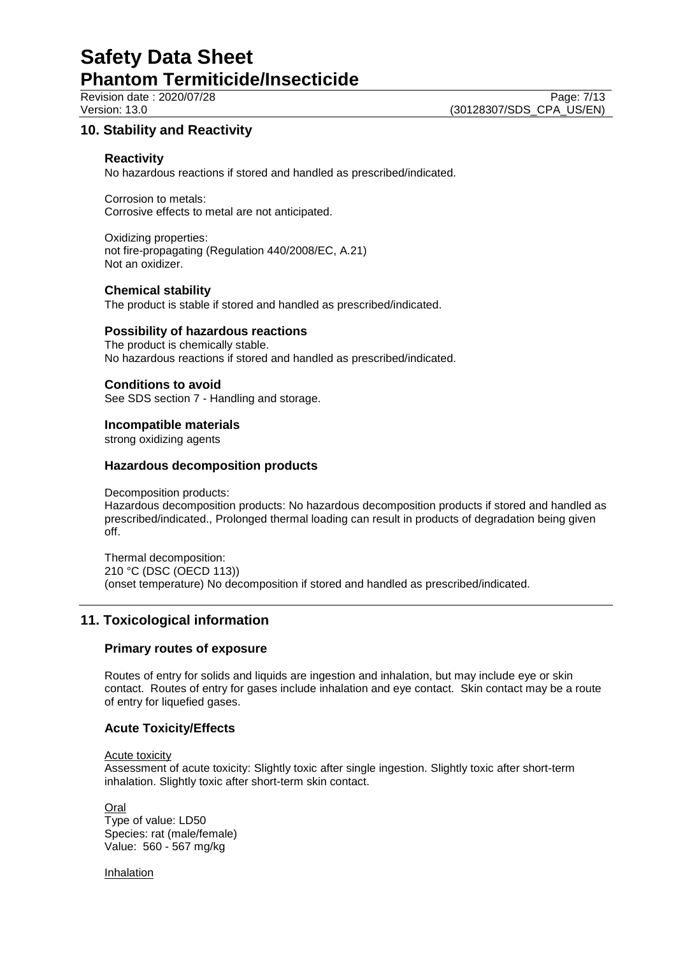Revision date : 2020/07/28 Page: 7/13<br>
Version: 13.0 (30128307/SDS CPA US/EN) (30128307/SDS\_CPA\_US/EN)

## **10. Stability and Reactivity**

### **Reactivity**

No hazardous reactions if stored and handled as prescribed/indicated.

Corrosion to metals: Corrosive effects to metal are not anticipated.

Oxidizing properties: not fire-propagating (Regulation 440/2008/EC, A.21) Not an oxidizer.

### **Chemical stability**

The product is stable if stored and handled as prescribed/indicated.

### **Possibility of hazardous reactions**

The product is chemically stable. No hazardous reactions if stored and handled as prescribed/indicated.

### **Conditions to avoid**

See SDS section 7 - Handling and storage.

#### **Incompatible materials**

strong oxidizing agents

### **Hazardous decomposition products**

Decomposition products:

Hazardous decomposition products: No hazardous decomposition products if stored and handled as prescribed/indicated., Prolonged thermal loading can result in products of degradation being given off.

Thermal decomposition: 210 °C (DSC (OECD 113)) (onset temperature) No decomposition if stored and handled as prescribed/indicated.

### **11. Toxicological information**

### **Primary routes of exposure**

Routes of entry for solids and liquids are ingestion and inhalation, but may include eye or skin contact. Routes of entry for gases include inhalation and eye contact. Skin contact may be a route of entry for liquefied gases.

### **Acute Toxicity/Effects**

Acute toxicity

Assessment of acute toxicity: Slightly toxic after single ingestion. Slightly toxic after short-term inhalation. Slightly toxic after short-term skin contact.

**Oral** Type of value: LD50 Species: rat (male/female) Value: 560 - 567 mg/kg

Inhalation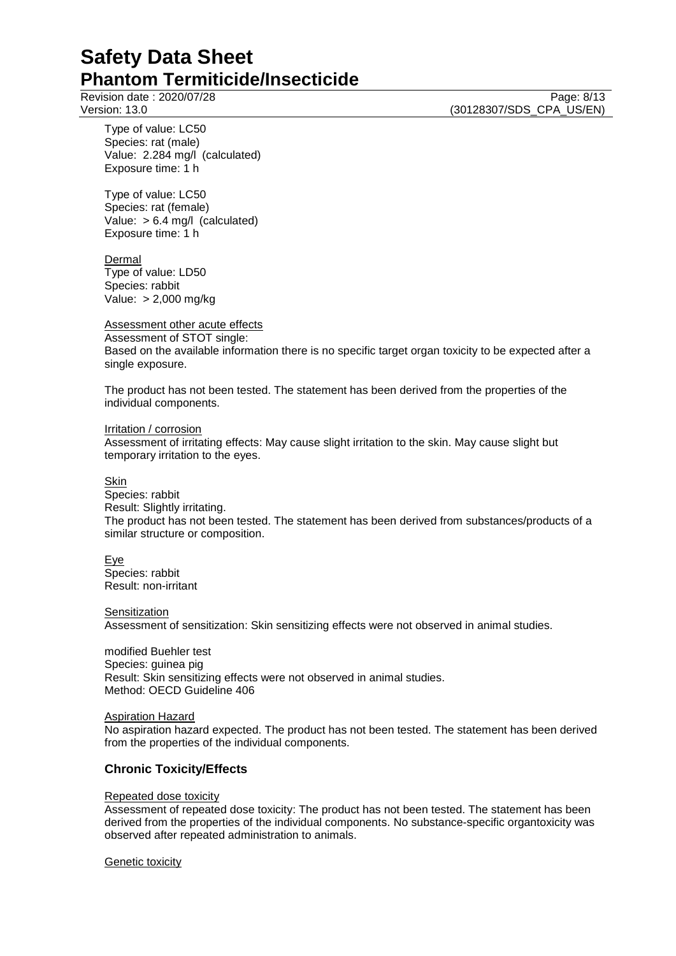Revision date : 2020/07/28 Page: 8/13<br>
Version: 13.0 (30128307/SDS CPA US/EN) (30128307/SDS\_CPA\_US/EN)

Type of value: LC50 Species: rat (male) Value: 2.284 mg/l (calculated) Exposure time: 1 h

Type of value: LC50 Species: rat (female) Value: > 6.4 mg/l (calculated) Exposure time: 1 h

Dermal Type of value: LD50 Species: rabbit Value: > 2,000 mg/kg

Assessment other acute effects

Assessment of STOT single: Based on the available information there is no specific target organ toxicity to be expected after a single exposure.

The product has not been tested. The statement has been derived from the properties of the individual components.

Irritation / corrosion Assessment of irritating effects: May cause slight irritation to the skin. May cause slight but temporary irritation to the eyes.

Skin

Species: rabbit Result: Slightly irritating. The product has not been tested. The statement has been derived from substances/products of a similar structure or composition.

Eye

Species: rabbit Result: non-irritant

**Sensitization** 

Assessment of sensitization: Skin sensitizing effects were not observed in animal studies.

modified Buehler test Species: guinea pig Result: Skin sensitizing effects were not observed in animal studies. Method: OECD Guideline 406

Aspiration Hazard

No aspiration hazard expected. The product has not been tested. The statement has been derived from the properties of the individual components.

## **Chronic Toxicity/Effects**

### Repeated dose toxicity

Assessment of repeated dose toxicity: The product has not been tested. The statement has been derived from the properties of the individual components. No substance-specific organtoxicity was observed after repeated administration to animals.

**Genetic toxicity**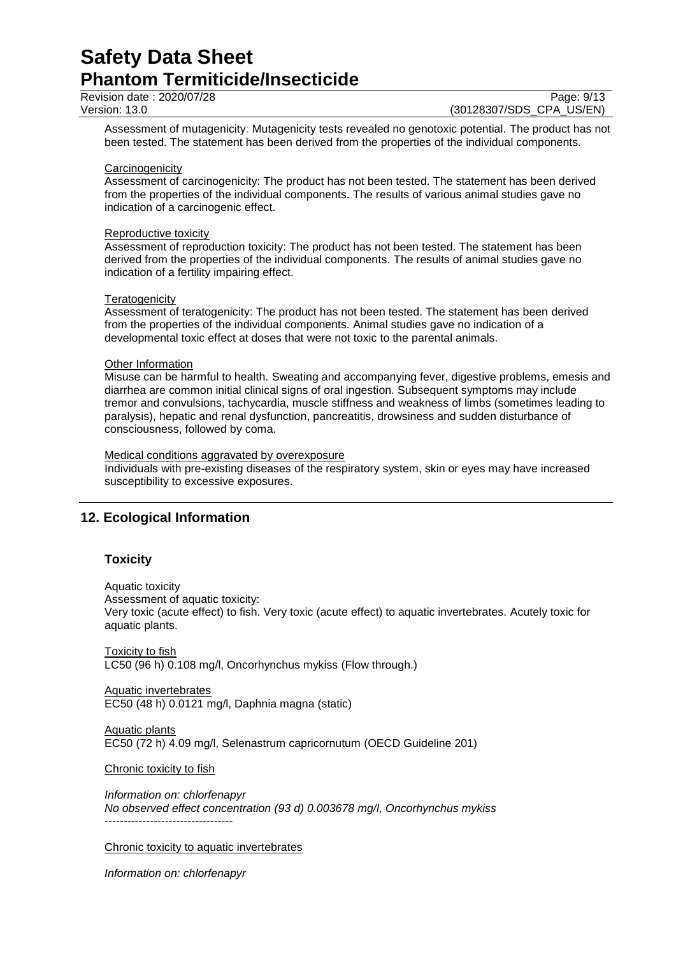Revision date : 2020/07/28 Page: 9/13<br>
Version: 13.0 (30128307/SDS CPA US/EN)

(30128307/SDS CPA US/EN)

Assessment of mutagenicity: Mutagenicity tests revealed no genotoxic potential. The product has not been tested. The statement has been derived from the properties of the individual components.

#### **Carcinogenicity**

Assessment of carcinogenicity: The product has not been tested. The statement has been derived from the properties of the individual components. The results of various animal studies gave no indication of a carcinogenic effect.

#### Reproductive toxicity

Assessment of reproduction toxicity: The product has not been tested. The statement has been derived from the properties of the individual components. The results of animal studies gave no indication of a fertility impairing effect.

#### **Teratogenicity**

Assessment of teratogenicity: The product has not been tested. The statement has been derived from the properties of the individual components. Animal studies gave no indication of a developmental toxic effect at doses that were not toxic to the parental animals.

### Other Information

Misuse can be harmful to health. Sweating and accompanying fever, digestive problems, emesis and diarrhea are common initial clinical signs of oral ingestion. Subsequent symptoms may include tremor and convulsions, tachycardia, muscle stiffness and weakness of limbs (sometimes leading to paralysis), hepatic and renal dysfunction, pancreatitis, drowsiness and sudden disturbance of consciousness, followed by coma.

#### Medical conditions aggravated by overexposure

Individuals with pre-existing diseases of the respiratory system, skin or eyes may have increased susceptibility to excessive exposures.

## **12. Ecological Information**

### **Toxicity**

Aquatic toxicity

Assessment of aquatic toxicity:

Very toxic (acute effect) to fish. Very toxic (acute effect) to aquatic invertebrates. Acutely toxic for aquatic plants.

Toxicity to fish LC50 (96 h) 0.108 mg/l, Oncorhynchus mykiss (Flow through.)

Aquatic invertebrates EC50 (48 h) 0.0121 mg/l, Daphnia magna (static)

Aquatic plants EC50 (72 h) 4.09 mg/l, Selenastrum capricornutum (OECD Guideline 201)

Chronic toxicity to fish

*Information on: chlorfenapyr No observed effect concentration (93 d) 0.003678 mg/l, Oncorhynchus mykiss* ----------------------------------

Chronic toxicity to aquatic invertebrates

*Information on: chlorfenapyr*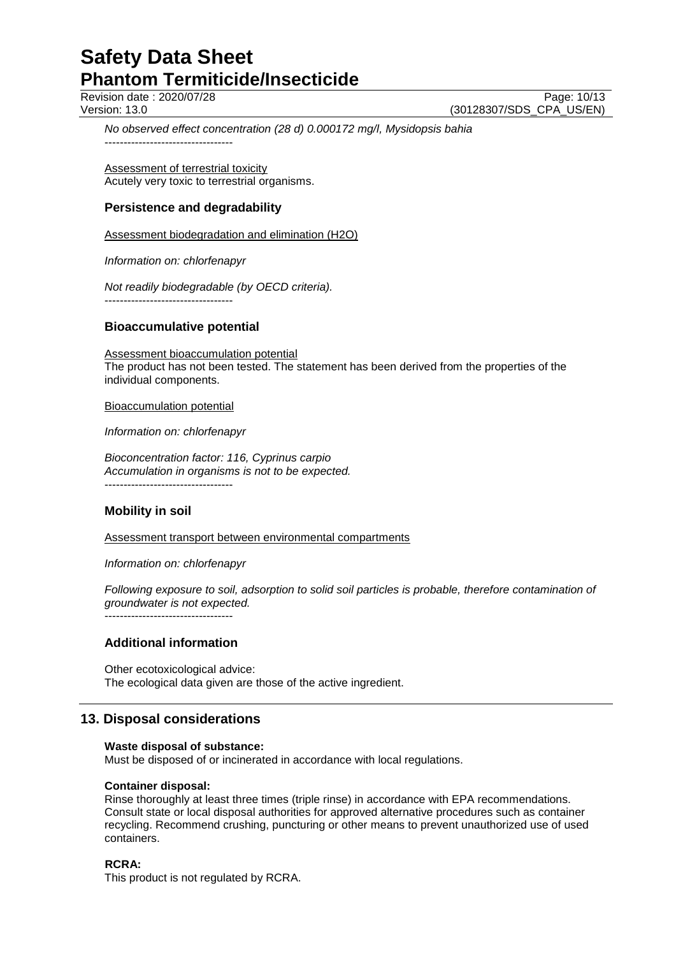Revision date : 2020/07/28 Page: 10/13<br>Version: 13.0 (30128307/SDS CPA US/EN) (30128307/SDS CPA US/EN)

*No observed effect concentration (28 d) 0.000172 mg/l, Mysidopsis bahia* ----------------------------------

Assessment of terrestrial toxicity Acutely very toxic to terrestrial organisms.

## **Persistence and degradability**

Assessment biodegradation and elimination (H2O)

*Information on: chlorfenapyr*

*Not readily biodegradable (by OECD criteria).* ----------------------------------

### **Bioaccumulative potential**

Assessment bioaccumulation potential The product has not been tested. The statement has been derived from the properties of the individual components.

Bioaccumulation potential

*Information on: chlorfenapyr*

*Bioconcentration factor: 116, Cyprinus carpio Accumulation in organisms is not to be expected.* ----------------------------------

## **Mobility in soil**

Assessment transport between environmental compartments

*Information on: chlorfenapyr*

*Following exposure to soil, adsorption to solid soil particles is probable, therefore contamination of groundwater is not expected.* ----------------------------------

## **Additional information**

Other ecotoxicological advice: The ecological data given are those of the active ingredient.

## **13. Disposal considerations**

### **Waste disposal of substance:**

Must be disposed of or incinerated in accordance with local regulations.

### **Container disposal:**

Rinse thoroughly at least three times (triple rinse) in accordance with EPA recommendations. Consult state or local disposal authorities for approved alternative procedures such as container recycling. Recommend crushing, puncturing or other means to prevent unauthorized use of used containers.

### **RCRA:**

This product is not regulated by RCRA.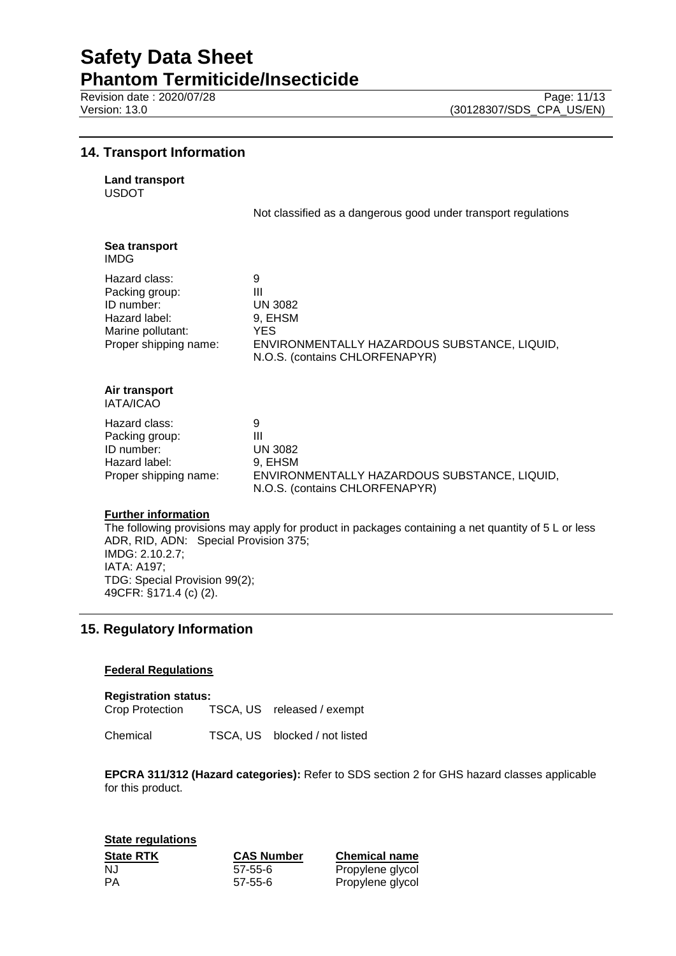Revision date : 2020/07/28 Page: 11/13<br>Version: 13.0 (30128307/SDS CPA US/EN)

## **14. Transport Information**

| <b>Land transport</b> |
|-----------------------|
|                       |

USDOT

Not classified as a dangerous good under transport regulations

| Sea transport<br><b>IMDG</b>                                                                                 |                                                                                                                                     |
|--------------------------------------------------------------------------------------------------------------|-------------------------------------------------------------------------------------------------------------------------------------|
| Hazard class:<br>Packing group:<br>ID number:<br>Hazard label:<br>Marine pollutant:<br>Proper shipping name: | 9<br>Ш<br><b>UN 3082</b><br>9, EHSM<br><b>YES</b><br>ENVIRONMENTALLY HAZARDOUS SUBSTANCE, LIQUID,<br>N.O.S. (contains CHLORFENAPYR) |
| Air transport<br><b>IATA/ICAO</b>                                                                            |                                                                                                                                     |
| Hazard class:<br>Packing group:<br>ID number:<br>Hazard label:<br>Proper shipping name:                      | 9<br>Ш<br><b>UN 3082</b><br>9, EHSM<br>ENVIRONMENTALLY HAZARDOUS SUBSTANCE, LIQUID,<br>N.O.S. (contains CHLORFENAPYR)               |

### **Further information**

The following provisions may apply for product in packages containing a net quantity of 5 L or less ADR, RID, ADN: Special Provision 375; IMDG: 2.10.2.7; IATA: A197; TDG: Special Provision 99(2); 49CFR: §171.4 (c) (2).

## **15. Regulatory Information**

### **Federal Regulations**

**Registration status:** TSCA, US released / exempt

Chemical TSCA, US blocked / not listed

**EPCRA 311/312 (Hazard categories):** Refer to SDS section 2 for GHS hazard classes applicable for this product.

**State regulations State RTK CAS Number Chemical name** NJ 57-55-6 Propylene glycol PA 57-55-6 Propylene glycol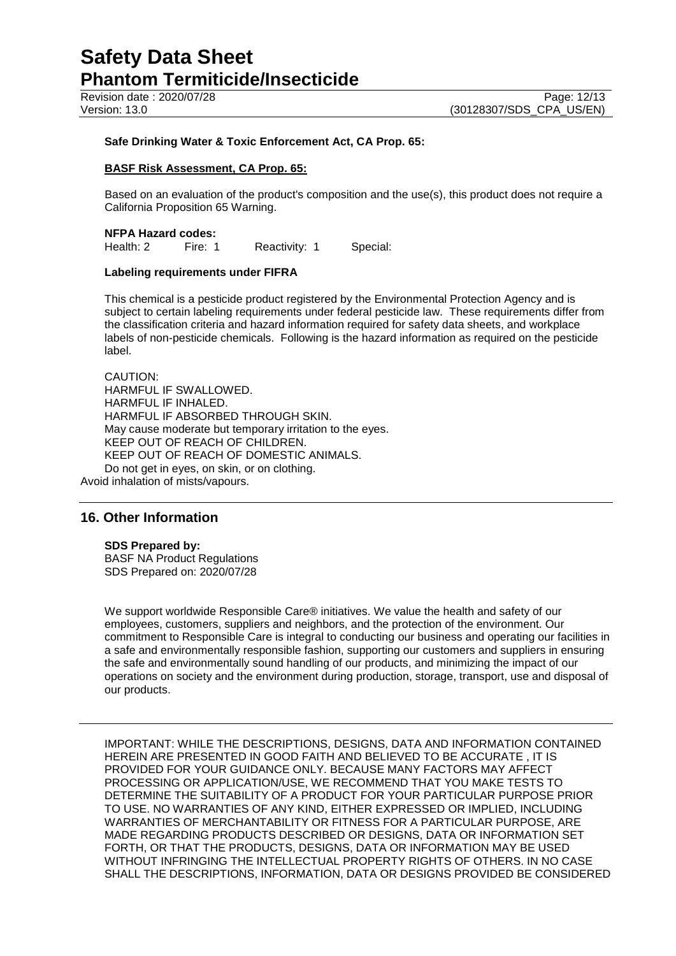### **Safe Drinking Water & Toxic Enforcement Act, CA Prop. 65:**

#### **BASF Risk Assessment, CA Prop. 65:**

Based on an evaluation of the product's composition and the use(s), this product does not require a California Proposition 65 Warning.

## **NFPA Hazard codes:**<br>Health: 2 Fire: 1

Reactivity: 1 Special:

### **Labeling requirements under FIFRA**

This chemical is a pesticide product registered by the Environmental Protection Agency and is subject to certain labeling requirements under federal pesticide law. These requirements differ from the classification criteria and hazard information required for safety data sheets, and workplace labels of non-pesticide chemicals. Following is the hazard information as required on the pesticide label.

CAUTION: HARMFUL IF SWALLOWED. HARMFUL IF INHALED. HARMFUL IF ABSORBED THROUGH SKIN. May cause moderate but temporary irritation to the eyes. KEEP OUT OF REACH OF CHILDREN. KEEP OUT OF REACH OF DOMESTIC ANIMALS. Do not get in eyes, on skin, or on clothing.

Avoid inhalation of mists/vapours.

## **16. Other Information**

#### **SDS Prepared by:**

BASF NA Product Regulations SDS Prepared on: 2020/07/28

We support worldwide Responsible Care® initiatives. We value the health and safety of our employees, customers, suppliers and neighbors, and the protection of the environment. Our commitment to Responsible Care is integral to conducting our business and operating our facilities in a safe and environmentally responsible fashion, supporting our customers and suppliers in ensuring the safe and environmentally sound handling of our products, and minimizing the impact of our operations on society and the environment during production, storage, transport, use and disposal of our products.

IMPORTANT: WHILE THE DESCRIPTIONS, DESIGNS, DATA AND INFORMATION CONTAINED HEREIN ARE PRESENTED IN GOOD FAITH AND BELIEVED TO BE ACCURATE , IT IS PROVIDED FOR YOUR GUIDANCE ONLY. BECAUSE MANY FACTORS MAY AFFECT PROCESSING OR APPLICATION/USE, WE RECOMMEND THAT YOU MAKE TESTS TO DETERMINE THE SUITABILITY OF A PRODUCT FOR YOUR PARTICULAR PURPOSE PRIOR TO USE. NO WARRANTIES OF ANY KIND, EITHER EXPRESSED OR IMPLIED, INCLUDING WARRANTIES OF MERCHANTABILITY OR FITNESS FOR A PARTICULAR PURPOSE, ARE MADE REGARDING PRODUCTS DESCRIBED OR DESIGNS, DATA OR INFORMATION SET FORTH, OR THAT THE PRODUCTS, DESIGNS, DATA OR INFORMATION MAY BE USED WITHOUT INFRINGING THE INTELLECTUAL PROPERTY RIGHTS OF OTHERS. IN NO CASE SHALL THE DESCRIPTIONS, INFORMATION, DATA OR DESIGNS PROVIDED BE CONSIDERED